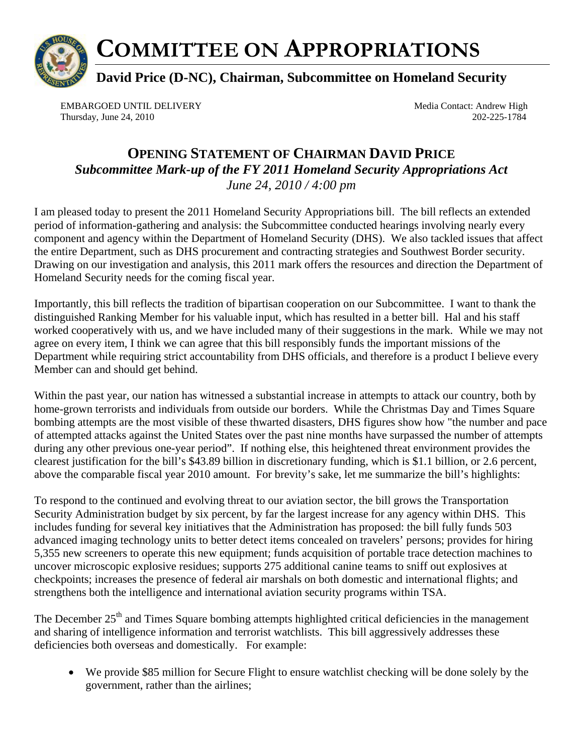

## **COMMITTEE ON APPROPRIATIONS**

**David Price (D-NC), Chairman, Subcommittee on Homeland Security** 

EMBARGOED UNTIL DELIVERY Media Contact: Andrew High Thursday, June 24, 2010 202-225-1784

## **OPENING STATEMENT OF CHAIRMAN DAVID PRICE**  *Subcommittee Mark-up of the FY 2011 Homeland Security Appropriations Act June 24, 2010 / 4:00 pm*

I am pleased today to present the 2011 Homeland Security Appropriations bill. The bill reflects an extended period of information-gathering and analysis: the Subcommittee conducted hearings involving nearly every component and agency within the Department of Homeland Security (DHS). We also tackled issues that affect the entire Department, such as DHS procurement and contracting strategies and Southwest Border security. Drawing on our investigation and analysis, this 2011 mark offers the resources and direction the Department of Homeland Security needs for the coming fiscal year.

Importantly, this bill reflects the tradition of bipartisan cooperation on our Subcommittee. I want to thank the distinguished Ranking Member for his valuable input, which has resulted in a better bill. Hal and his staff worked cooperatively with us, and we have included many of their suggestions in the mark. While we may not agree on every item, I think we can agree that this bill responsibly funds the important missions of the Department while requiring strict accountability from DHS officials, and therefore is a product I believe every Member can and should get behind.

Within the past year, our nation has witnessed a substantial increase in attempts to attack our country, both by home-grown terrorists and individuals from outside our borders. While the Christmas Day and Times Square bombing attempts are the most visible of these thwarted disasters, DHS figures show how "the number and pace of attempted attacks against the United States over the past nine months have surpassed the number of attempts during any other previous one-year period". If nothing else, this heightened threat environment provides the clearest justification for the bill's \$43.89 billion in discretionary funding, which is \$1.1 billion, or 2.6 percent, above the comparable fiscal year 2010 amount. For brevity's sake, let me summarize the bill's highlights:

To respond to the continued and evolving threat to our aviation sector, the bill grows the Transportation Security Administration budget by six percent, by far the largest increase for any agency within DHS. This includes funding for several key initiatives that the Administration has proposed: the bill fully funds 503 advanced imaging technology units to better detect items concealed on travelers' persons; provides for hiring 5,355 new screeners to operate this new equipment; funds acquisition of portable trace detection machines to uncover microscopic explosive residues; supports 275 additional canine teams to sniff out explosives at checkpoints; increases the presence of federal air marshals on both domestic and international flights; and strengthens both the intelligence and international aviation security programs within TSA.

The December 25<sup>th</sup> and Times Square bombing attempts highlighted critical deficiencies in the management and sharing of intelligence information and terrorist watchlists. This bill aggressively addresses these deficiencies both overseas and domestically. For example:

• We provide \$85 million for Secure Flight to ensure watchlist checking will be done solely by the government, rather than the airlines;